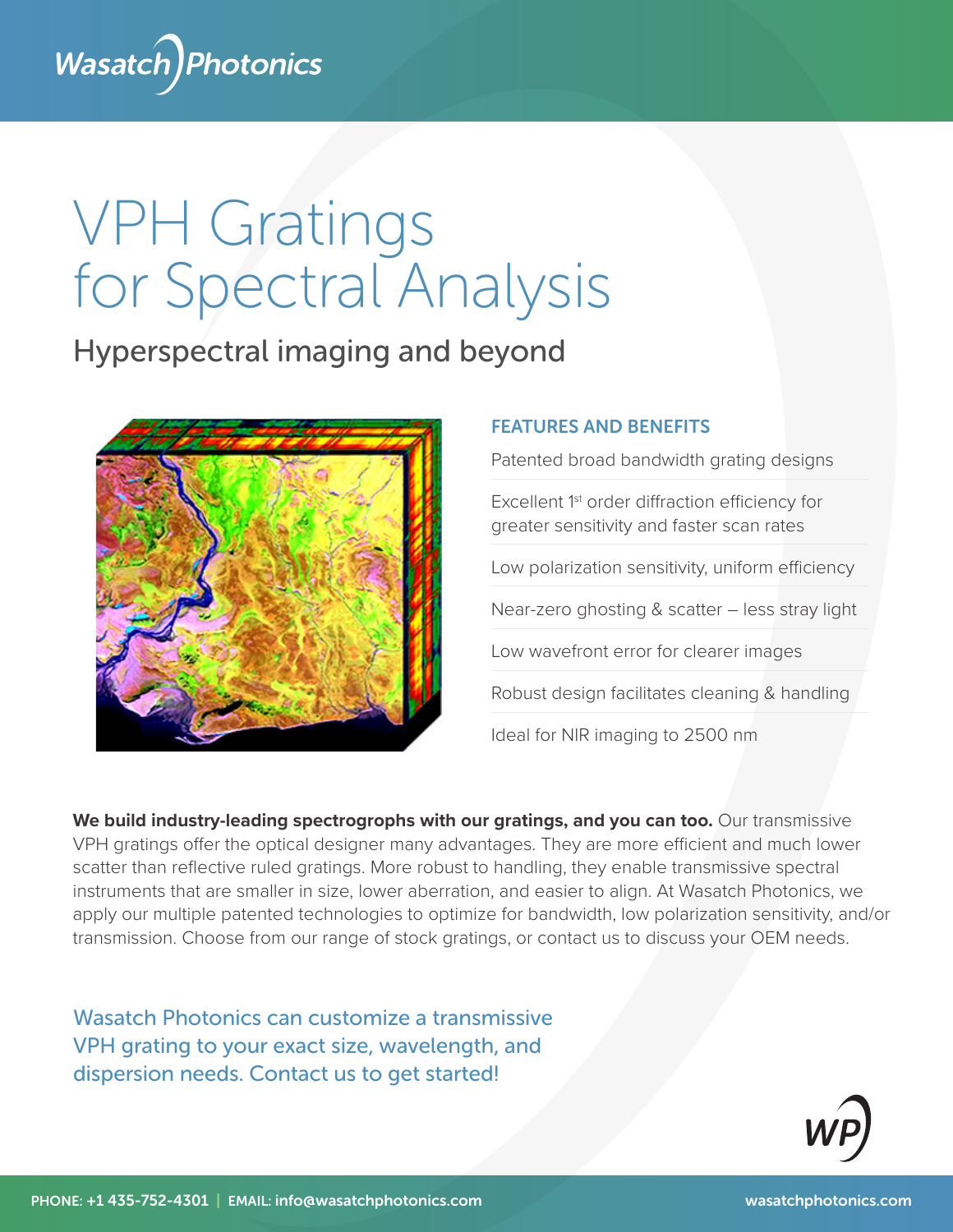

# VPH Gratings for Spectral Analysis

## Hyperspectral imaging and beyond



#### FEATURES AND BENEFITS

Patented broad bandwidth grating designs

Excellent 1st order diffraction efficiency for greater sensitivity and faster scan rates

Low polarization sensitivity, uniform efficiency

Near-zero ghosting & scatter – less stray light

Low wavefront error for clearer images

Robust design facilitates cleaning & handling

Ideal for NIR imaging to 2500 nm

We build industry-leading spectrogrophs with our gratings, and you can too. Our transmissive VPH gratings offer the optical designer many advantages. They are more efficient and much lower scatter than reflective ruled gratings. More robust to handling, they enable transmissive spectral instruments that are smaller in size, lower aberration, and easier to align. At Wasatch Photonics, we apply our multiple patented technologies to optimize for bandwidth, low polarization sensitivity, and/or transmission. Choose from our range of stock gratings, or contact us to discuss your OEM needs.

Wasatch Photonics can customize a transmissive VPH grating to your exact size, wavelength, and dispersion needs. Contact us to get started!